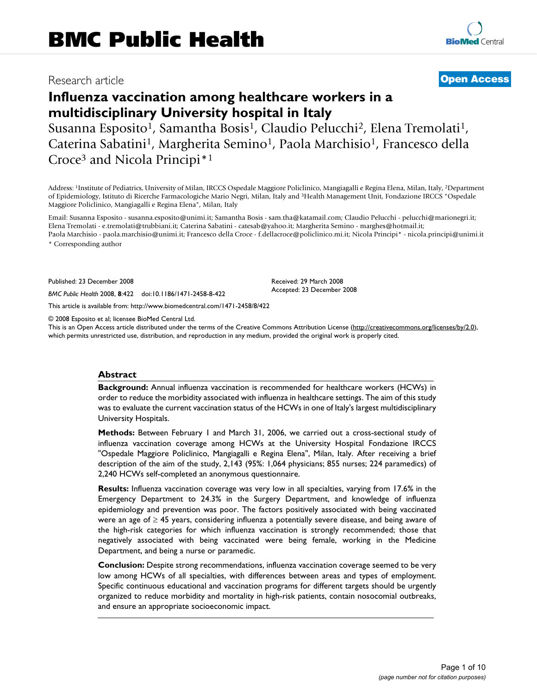# Research article **[Open Access](http://www.biomedcentral.com/info/about/charter/)**

# **Influenza vaccination among healthcare workers in a multidisciplinary University hospital in Italy**

Susanna Esposito<sup>1</sup>, Samantha Bosis<sup>1</sup>, Claudio Pelucchi<sup>2</sup>, Elena Tremolati<sup>1</sup>, Caterina Sabatini<sup>1</sup>, Margherita Semino<sup>1</sup>, Paola Marchisio<sup>1</sup>, Francesco della Croce3 and Nicola Principi\*1

Address: 1Institute of Pediatrics, University of Milan, IRCCS Ospedale Maggiore Policlinico, Mangiagalli e Regina Elena, Milan, Italy, 2Department of Epidemiology, Istituto di Ricerche Farmacologiche Mario Negri, Milan, Italy and 3Health Management Unit, Fondazione IRCCS "Ospedale Maggiore Policlinico, Mangiagalli e Regina Elena", Milan, Italy

Email: Susanna Esposito - susanna.esposito@unimi.it; Samantha Bosis - sam.tha@katamail.com; Claudio Pelucchi - pelucchi@marionegri.it; Elena Tremolati - e.tremolati@trubbiani.it; Caterina Sabatini - catesab@yahoo.it; Margherita Semino - marghes@hotmail.it; Paola Marchisio - paola.marchisio@unimi.it; Francesco della Croce - f.dellacroce@policlinico.mi.it; Nicola Principi\* - nicola.principi@unimi.it

> Received: 29 March 2008 Accepted: 23 December 2008

\* Corresponding author

Published: 23 December 2008

*BMC Public Health* 2008, **8**:422 doi:10.1186/1471-2458-8-422

[This article is available from: http://www.biomedcentral.com/1471-2458/8/422](http://www.biomedcentral.com/1471-2458/8/422)

© 2008 Esposito et al; licensee BioMed Central Ltd.

This is an Open Access article distributed under the terms of the Creative Commons Attribution License [\(http://creativecommons.org/licenses/by/2.0\)](http://creativecommons.org/licenses/by/2.0), which permits unrestricted use, distribution, and reproduction in any medium, provided the original work is properly cited.

#### **Abstract**

**Background:** Annual influenza vaccination is recommended for healthcare workers (HCWs) in order to reduce the morbidity associated with influenza in healthcare settings. The aim of this study was to evaluate the current vaccination status of the HCWs in one of Italy's largest multidisciplinary University Hospitals.

**Methods:** Between February 1 and March 31, 2006, we carried out a cross-sectional study of influenza vaccination coverage among HCWs at the University Hospital Fondazione IRCCS "Ospedale Maggiore Policlinico, Mangiagalli e Regina Elena", Milan, Italy. After receiving a brief description of the aim of the study, 2,143 (95%: 1,064 physicians; 855 nurses; 224 paramedics) of 2,240 HCWs self-completed an anonymous questionnaire.

**Results:** Influenza vaccination coverage was very low in all specialties, varying from 17.6% in the Emergency Department to 24.3% in the Surgery Department, and knowledge of influenza epidemiology and prevention was poor. The factors positively associated with being vaccinated were an age of ≥ 45 years, considering influenza a potentially severe disease, and being aware of the high-risk categories for which influenza vaccination is strongly recommended; those that negatively associated with being vaccinated were being female, working in the Medicine Department, and being a nurse or paramedic.

**Conclusion:** Despite strong recommendations, influenza vaccination coverage seemed to be very low among HCWs of all specialties, with differences between areas and types of employment. Specific continuous educational and vaccination programs for different targets should be urgently organized to reduce morbidity and mortality in high-risk patients, contain nosocomial outbreaks, and ensure an appropriate socioeconomic impact.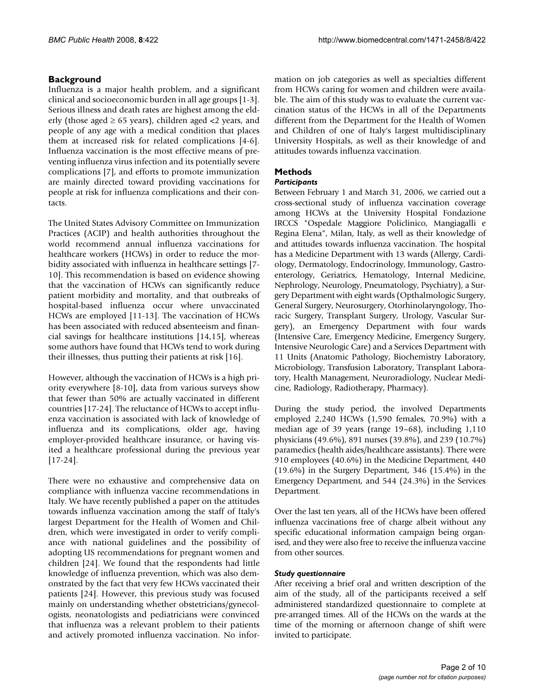# **Background**

Influenza is a major health problem, and a significant clinical and socioeconomic burden in all age groups [1-3]. Serious illness and death rates are highest among the elderly (those aged  $\geq 65$  years), children aged <2 years, and people of any age with a medical condition that places them at increased risk for related complications [4-6]. Influenza vaccination is the most effective means of preventing influenza virus infection and its potentially severe complications [7], and efforts to promote immunization are mainly directed toward providing vaccinations for people at risk for influenza complications and their contacts.

The United States Advisory Committee on Immunization Practices (ACIP) and health authorities throughout the world recommend annual influenza vaccinations for healthcare workers (HCWs) in order to reduce the morbidity associated with influenza in healthcare settings [7- 10]. This recommendation is based on evidence showing that the vaccination of HCWs can significantly reduce patient morbidity and mortality, and that outbreaks of hospital-based influenza occur where unvaccinated HCWs are employed [11-13]. The vaccination of HCWs has been associated with reduced absenteeism and financial savings for healthcare institutions [14,15], whereas some authors have found that HCWs tend to work during their illnesses, thus putting their patients at risk [16].

However, although the vaccination of HCWs is a high priority everywhere [8-10], data from various surveys show that fewer than 50% are actually vaccinated in different countries [17-24]. The reluctance of HCWs to accept influenza vaccination is associated with lack of knowledge of influenza and its complications, older age, having employer-provided healthcare insurance, or having visited a healthcare professional during the previous year [17-24].

There were no exhaustive and comprehensive data on compliance with influenza vaccine recommendations in Italy. We have recently published a paper on the attitudes towards influenza vaccination among the staff of Italy's largest Department for the Health of Women and Children, which were investigated in order to verify compliance with national guidelines and the possibility of adopting US recommendations for pregnant women and children [24]. We found that the respondents had little knowledge of influenza prevention, which was also demonstrated by the fact that very few HCWs vaccinated their patients [24]. However, this previous study was focused mainly on understanding whether obstetricians/gynecologists, neonatologists and pediatricians were convinced that influenza was a relevant problem to their patients and actively promoted influenza vaccination. No information on job categories as well as specialties different from HCWs caring for women and children were available. The aim of this study was to evaluate the current vaccination status of the HCWs in all of the Departments different from the Department for the Health of Women and Children of one of Italy's largest multidisciplinary University Hospitals, as well as their knowledge of and attitudes towards influenza vaccination.

# **Methods**

#### *Participants*

Between February 1 and March 31, 2006, we carried out a cross-sectional study of influenza vaccination coverage among HCWs at the University Hospital Fondazione IRCCS "Ospedale Maggiore Policlinico, Mangiagalli e Regina Elena", Milan, Italy, as well as their knowledge of and attitudes towards influenza vaccination. The hospital has a Medicine Department with 13 wards (Allergy, Cardiology, Dermatology, Endocrinology, Immunology, Gastroenterology, Geriatrics, Hematology, Internal Medicine, Nephrology, Neurology, Pneumatology, Psychiatry), a Surgery Department with eight wards (Opthalmologic Surgery, General Surgery, Neurosurgery, Otorhinolaryngology, Thoracic Surgery, Transplant Surgery, Urology, Vascular Surgery), an Emergency Department with four wards (Intensive Care, Emergency Medicine, Emergency Surgery, Intensive Neurologic Care) and a Services Department with 11 Units (Anatomic Pathology, Biochemistry Laboratory, Microbiology, Transfusion Laboratory, Transplant Laboratory, Health Management, Neuroradiology, Nuclear Medicine, Radiology, Radiotherapy, Pharmacy).

During the study period, the involved Departments employed 2,240 HCWs (1,590 females, 70.9%) with a median age of 39 years (range 19–68), including 1,110 physicians (49.6%), 891 nurses (39.8%), and 239 (10.7%) paramedics (health aides/healthcare assistants). There were 910 employees (40.6%) in the Medicine Department, 440 (19.6%) in the Surgery Department, 346 (15.4%) in the Emergency Department, and 544 (24.3%) in the Services Department.

Over the last ten years, all of the HCWs have been offered influenza vaccinations free of charge albeit without any specific educational information campaign being organised, and they were also free to receive the influenza vaccine from other sources.

#### *Study questionnaire*

After receiving a brief oral and written description of the aim of the study, all of the participants received a self administered standardized questionnaire to complete at pre-arranged times. All of the HCWs on the wards at the time of the morning or afternoon change of shift were invited to participate.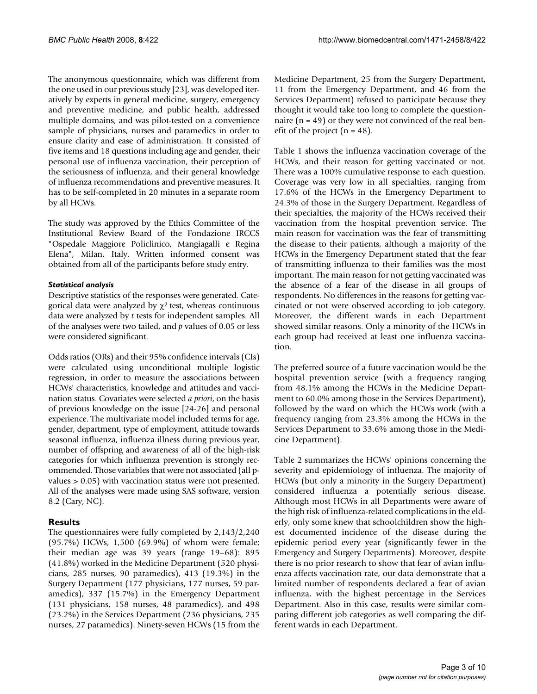The anonymous questionnaire, which was different from the one used in our previous study [23], was developed iteratively by experts in general medicine, surgery, emergency and preventive medicine, and public health, addressed multiple domains, and was pilot-tested on a convenience sample of physicians, nurses and paramedics in order to ensure clarity and ease of administration. It consisted of five items and 18 questions including age and gender, their personal use of influenza vaccination, their perception of the seriousness of influenza, and their general knowledge of influenza recommendations and preventive measures. It has to be self-completed in 20 minutes in a separate room by all HCWs.

The study was approved by the Ethics Committee of the Institutional Review Board of the Fondazione IRCCS "Ospedale Maggiore Policlinico, Mangiagalli e Regina Elena", Milan, Italy. Written informed consent was obtained from all of the participants before study entry.

#### *Statistical analysis*

Descriptive statistics of the responses were generated. Categorical data were analyzed by  $\chi^2$  test, whereas continuous data were analyzed by *t* tests for independent samples. All of the analyses were two tailed, and *p* values of 0.05 or less were considered significant.

Odds ratios (ORs) and their 95% confidence intervals (CIs) were calculated using unconditional multiple logistic regression, in order to measure the associations between HCWs' characteristics, knowledge and attitudes and vaccination status. Covariates were selected *a priori*, on the basis of previous knowledge on the issue [24-26] and personal experience. The multivariate model included terms for age, gender, department, type of employment, attitude towards seasonal influenza, influenza illness during previous year, number of offspring and awareness of all of the high-risk categories for which influenza prevention is strongly recommended. Those variables that were not associated (all pvalues > 0.05) with vaccination status were not presented. All of the analyses were made using SAS software, version 8.2 (Cary, NC).

## **Results**

The questionnaires were fully completed by 2,143/2,240 (95.7%) HCWs, 1,500 (69.9%) of whom were female; their median age was 39 years (range 19–68): 895 (41.8%) worked in the Medicine Department (520 physicians, 285 nurses, 90 paramedics), 413 (19.3%) in the Surgery Department (177 physicians, 177 nurses, 59 paramedics), 337 (15.7%) in the Emergency Department (131 physicians, 158 nurses, 48 paramedics), and 498 (23.2%) in the Services Department (236 physicians, 235 nurses, 27 paramedics). Ninety-seven HCWs (15 from the Medicine Department, 25 from the Surgery Department, 11 from the Emergency Department, and 46 from the Services Department) refused to participate because they thought it would take too long to complete the questionnaire ( $n = 49$ ) or they were not convinced of the real benefit of the project  $(n = 48)$ .

Table 1 shows the influenza vaccination coverage of the HCWs, and their reason for getting vaccinated or not. There was a 100% cumulative response to each question. Coverage was very low in all specialties, ranging from 17.6% of the HCWs in the Emergency Department to 24.3% of those in the Surgery Department. Regardless of their specialties, the majority of the HCWs received their vaccination from the hospital prevention service. The main reason for vaccination was the fear of transmitting the disease to their patients, although a majority of the HCWs in the Emergency Department stated that the fear of transmitting influenza to their families was the most important. The main reason for not getting vaccinated was the absence of a fear of the disease in all groups of respondents. No differences in the reasons for getting vaccinated or not were observed according to job category. Moreover, the different wards in each Department showed similar reasons. Only a minority of the HCWs in each group had received at least one influenza vaccination.

The preferred source of a future vaccination would be the hospital prevention service (with a frequency ranging from 48.1% among the HCWs in the Medicine Department to 60.0% among those in the Services Department), followed by the ward on which the HCWs work (with a frequency ranging from 23.3% among the HCWs in the Services Department to 33.6% among those in the Medicine Department).

Table 2 summarizes the HCWs' opinions concerning the severity and epidemiology of influenza. The majority of HCWs (but only a minority in the Surgery Department) considered influenza a potentially serious disease. Although most HCWs in all Departments were aware of the high risk of influenza-related complications in the elderly, only some knew that schoolchildren show the highest documented incidence of the disease during the epidemic period every year (significantly fewer in the Emergency and Surgery Departments). Moreover, despite there is no prior research to show that fear of avian influenza affects vaccination rate, our data demonstrate that a limited number of respondents declared a fear of avian influenza, with the highest percentage in the Services Department. Also in this case, results were similar comparing different job categories as well comparing the different wards in each Department.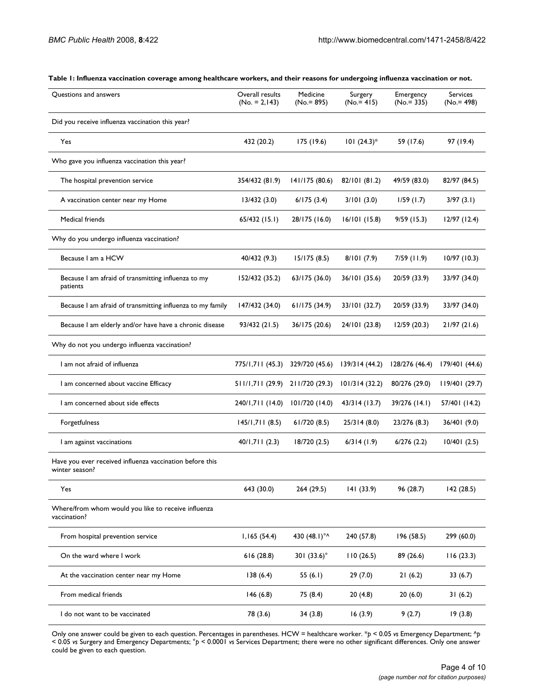| Questions and answers                                                      | Overall results<br>$(No. = 2, 143)$ | Medicine<br>$(No = 895)$ | Surgery<br>$(No = 415)$ | Emergency<br>$(No = 335)$ | Services<br>$(No = 498)$ |
|----------------------------------------------------------------------------|-------------------------------------|--------------------------|-------------------------|---------------------------|--------------------------|
| Did you receive influenza vaccination this year?                           |                                     |                          |                         |                           |                          |
| Yes                                                                        | 432 (20.2)                          | 175 (19.6)               | $101 (24.3)^*$          | 59 (17.6)                 | 97 (19.4)                |
| Who gave you influenza vaccination this year?                              |                                     |                          |                         |                           |                          |
| The hospital prevention service                                            | 354/432 (81.9)                      | 141/175 (80.6)           | 82/101 (81.2)           | 49/59 (83.0)              | 82/97 (84.5)             |
| A vaccination center near my Home                                          | 13/432(3.0)                         | 6/175(3.4)               | 3/101(3.0)              | 1/59(1.7)                 | 3/97(3.1)                |
| Medical friends                                                            | 65/432(15.1)                        | 28/175 (16.0)            | 16/101(15.8)            | 9/59(15.3)                | $12/97$ (12.4)           |
| Why do you undergo influenza vaccination?                                  |                                     |                          |                         |                           |                          |
| Because I am a HCW                                                         | 40/432 (9.3)                        | 15/175(8.5)              | 8/101(7.9)              | $7/59$ (11.9)             | 10/97(10.3)              |
| Because I am afraid of transmitting influenza to my<br>patients            | 152/432 (35.2)                      | 63/175 (36.0)            | 36/101 (35.6)           | 20/59 (33.9)              | 33/97 (34.0)             |
| Because I am afraid of transmitting influenza to my family                 | 147/432 (34.0)                      | 61/175(34.9)             | 33/101 (32.7)           | 20/59 (33.9)              | 33/97 (34.0)             |
| Because I am elderly and/or have have a chronic disease                    | 93/432 (21.5)                       | 36/175 (20.6)            | 24/101 (23.8)           | 12/59(20.3)               | 21/97(21.6)              |
| Why do not you undergo influenza vaccination?                              |                                     |                          |                         |                           |                          |
| I am not afraid of influenza                                               | 775/1,711 (45.3)                    | 329/720 (45.6)           | 139/314 (44.2)          | 128/276 (46.4)            | 179/401 (44.6)           |
| I am concerned about vaccine Efficacy                                      | 511/1,711 (29.9) 211/720 (29.3)     |                          | 101/314(32.2)           | 80/276 (29.0)             | 119/401 (29.7)           |
| I am concerned about side effects                                          | 240/1,711 (14.0)                    | 101/720 (14.0)           | 43/314 (13.7)           | 39/276 (14.1)             | 57/401 (14.2)            |
| Forgetfulness                                                              | 145/1,711(8.5)                      | 61/720(8.5)              | 25/314(8.0)             | 23/276 (8.3)              | 36/401 (9.0)             |
| I am against vaccinations                                                  | 40/1,711(2.3)                       | 18/720 (2.5)             | 6/314(1.9)              | 6/276(2.2)                | 10/401(2.5)              |
| Have you ever received influenza vaccination before this<br>winter season? |                                     |                          |                         |                           |                          |
| Yes                                                                        | 643 (30.0)                          | 264 (29.5)               | 141(33.9)               | 96 (28.7)                 | 142 (28.5)               |
| Where/from whom would you like to receive influenza<br>vaccination?        |                                     |                          |                         |                           |                          |
| From hospital prevention service                                           | 1,165(54.4)                         | 430 (48.1)° <sup>^</sup> | 240 (57.8)              | 196 (58.5)                | 299 (60.0)               |
| On the ward where I work                                                   | 616 (28.8)                          | 301 $(33.6)^\circ$       | 110(26.5)               | 89 (26.6)                 | 116(23.3)                |
| At the vaccination center near my Home                                     | 138(6.4)                            | 55 $(6.1)$               | 29(7.0)                 | 21(6.2)                   | 33(6.7)                  |
| From medical friends                                                       | 146(6.8)                            | 75 (8.4)                 | 20(4.8)                 | 20(6.0)                   | 31(6.2)                  |
| I do not want to be vaccinated                                             | 78 (3.6)                            | 34 (3.8)                 | 16(3.9)                 | 9(2.7)                    | 19(3.8)                  |

**Table 1: Influenza vaccination coverage among healthcare workers, and their reasons for undergoing influenza vaccination or not.**

Only one answer could be given to each question. Percentages in parentheses. HCW = healthcare worker. \**p* < 0.05 *vs* Emergency Department; ^*p*  < 0.05 *vs* Surgery and Emergency Departments; °*p* < 0.0001 *vs* Services Department; there were no other significant differences. Only one answer could be given to each question.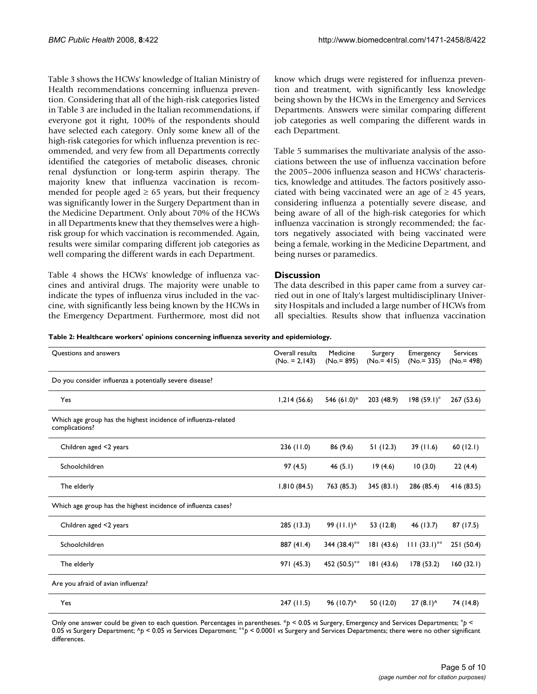Table 3 shows the HCWs' knowledge of Italian Ministry of Health recommendations concerning influenza prevention. Considering that all of the high-risk categories listed in Table 3 are included in the Italian recommendations, if everyone got it right, 100% of the respondents should have selected each category. Only some knew all of the high-risk categories for which influenza prevention is recommended, and very few from all Departments correctly identified the categories of metabolic diseases, chronic renal dysfunction or long-term aspirin therapy. The majority knew that influenza vaccination is recommended for people aged  $\geq 65$  years, but their frequency was significantly lower in the Surgery Department than in the Medicine Department. Only about 70% of the HCWs in all Departments knew that they themselves were a highrisk group for which vaccination is recommended. Again, results were similar comparing different job categories as well comparing the different wards in each Department.

Table 4 shows the HCWs' knowledge of influenza vaccines and antiviral drugs. The majority were unable to indicate the types of influenza virus included in the vaccine, with significantly less being known by the HCWs in the Emergency Department. Furthermore, most did not know which drugs were registered for influenza prevention and treatment, with significantly less knowledge being shown by the HCWs in the Emergency and Services Departments. Answers were similar comparing different job categories as well comparing the different wards in each Department.

Table 5 summarises the multivariate analysis of the associations between the use of influenza vaccination before the 2005–2006 influenza season and HCWs' characteristics, knowledge and attitudes. The factors positively associated with being vaccinated were an age of  $\geq$  45 years, considering influenza a potentially severe disease, and being aware of all of the high-risk categories for which influenza vaccination is strongly recommended; the factors negatively associated with being vaccinated were being a female, working in the Medicine Department, and being nurses or paramedics.

#### **Discussion**

The data described in this paper came from a survey carried out in one of Italy's largest multidisciplinary University Hospitals and included a large number of HCWs from all specialties. Results show that influenza vaccination

| Table 2: Healthcare workers' opinions concerning influenza severity and epidemiology. |  |  |
|---------------------------------------------------------------------------------------|--|--|
|                                                                                       |  |  |

| Questions and answers                                                            | Overall results<br>$(No. = 2, 143)$ | Medicine<br>$(No = 895)$ | Surgery<br>$(No = 415)$ | Emergency<br>$(No = 335)$ | <b>Services</b><br>$(No = 498)$ |
|----------------------------------------------------------------------------------|-------------------------------------|--------------------------|-------------------------|---------------------------|---------------------------------|
| Do you consider influenza a potentially severe disease?                          |                                     |                          |                         |                           |                                 |
| Yes                                                                              | 1,214(56.6)                         | 546 (61.0)*              | 203 (48.9)              | 198(59.1)°                | 267 (53.6)                      |
| Which age group has the highest incidence of influenza-related<br>complications? |                                     |                          |                         |                           |                                 |
| Children aged <2 years                                                           | 236 (11.0)                          | 86 (9.6)                 | 51(12.3)                | 39(11.6)                  | 60(12.1)                        |
| Schoolchildren                                                                   | 97(4.5)                             | 46 $(5.1)$               | 19(4.6)                 | 10(3.0)                   | 22(4.4)                         |
| The elderly                                                                      | 1,810(84.5)                         | 763 (85.3)               | 345(83.1)               | 286 (85.4)                | 416 (83.5)                      |
| Which age group has the highest incidence of influenza cases?                    |                                     |                          |                         |                           |                                 |
| Children aged <2 years                                                           | 285 (13.3)                          | 99 (11.1) <sup>^</sup>   | 53 (12.8)               | 46 (13.7)                 | 87 (17.5)                       |
| Schoolchildren                                                                   | 887 (41.4)                          | 344 $(38.4)°$            | 181 (43.6)              | $111 (33.1)^{\circ}$      | 251 (50.4)                      |
| The elderly                                                                      | 971 (45.3)                          | 452 (50.5)°°             | 181(43.6)               | 178(53.2)                 | 160(32.1)                       |
| Are you afraid of avian influenza?                                               |                                     |                          |                         |                           |                                 |
| Yes                                                                              | 247 (11.5)                          | 96 (10.7)^               | 50 (12.0)               | $27(8.1)^{A}$             | 74 (14.8)                       |

Only one answer could be given to each question. Percentages in parentheses. \**p* < 0.05 *vs* Surgery, Emergency and Services Departments; °*p* < 0.05 *vs* Surgery Department; ^*p* < 0.05 *vs* Services Department; °°*p* < 0.0001 *vs* Surgery and Services Departments; there were no other significant differences.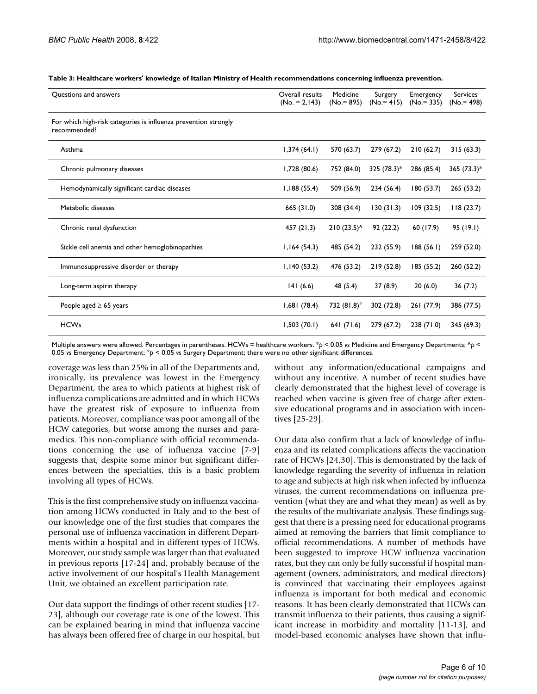| Questions and answers                                                           | Overall results<br>$(No. = 2,143)$ | Medicine<br>$(No = 895)$ | Surgery<br>$(No = 415)$ | Emergency<br>$(No = 335)$ | Services<br>$(No = 498)$ |
|---------------------------------------------------------------------------------|------------------------------------|--------------------------|-------------------------|---------------------------|--------------------------|
| For which high-risk categories is influenza prevention strongly<br>recommended? |                                    |                          |                         |                           |                          |
| Asthma                                                                          | 1,374(64.1)                        | 570 (63.7)               | 279 (67.2)              | 210(62.7)                 | 315(63.3)                |
| Chronic pulmonary diseases                                                      | I,728 (80.6)                       | 752 (84.0)               | 325 (78.3)*             | 286 (85.4)                | $365 (73.3)^*$           |
| Hemodynamically significant cardiac diseases                                    | 1,188(55.4)                        | 509 (56.9)               | 234 (56.4)              | 180 (53.7)                | 265(53.2)                |
| Metabolic diseases                                                              | 665 (31.0)                         | 308 (34.4)               | 130(31.3)               | 109(32.5)                 | 118(23.7)                |
| Chronic renal dysfunction                                                       | 457(21.3)                          | $210(23.5)^{A}$          | 92(22.2)                | 60 (17.9)                 | 95 (19.1)                |
| Sickle cell anemia and other hemoglobinopathies                                 | 1,164(54.3)                        | 485 (54.2)               | 232 (55.9)              | 188(56.1)                 | 259 (52.0)               |
| Immunosuppressive disorder or therapy                                           | 1,140(53.2)                        | 476 (53.2)               | 219 (52.8)              | 185 (55.2)                | 260 (52.2)               |
| Long-term aspirin therapy                                                       | 141(6.6)                           | 48 (5.4)                 | 37(8.9)                 | 20(6.0)                   | 36(7.2)                  |
| People aged $\geq 65$ years                                                     | 1,681(78.4)                        | 732 $(81.8)$ °           | 302 (72.8)              | 261 (77.9)                | 386 (77.5)               |
| <b>HCWs</b>                                                                     | 1,503(70.1)                        | 641 (71.6)               | 279 (67.2)              | 238(71.0)                 | 345 (69.3)               |

**Table 3: Healthcare workers' knowledge of Italian Ministry of Health recommendations concerning influenza prevention.**

Multiple answers were allowed. Percentages in parentheses. HCWs = healthcare workers. \**p* < 0.05 *vs* Medicine and Emergency Departments; ^*p* < 0.05 *vs* Emergency Department; °*p* < 0.05 *vs* Surgery Department; there were no other significant differences.

coverage was less than 25% in all of the Departments and, ironically, its prevalence was lowest in the Emergency Department, the area to which patients at highest risk of influenza complications are admitted and in which HCWs have the greatest risk of exposure to influenza from patients. Moreover, compliance was poor among all of the HCW categories, but worse among the nurses and paramedics. This non-compliance with official recommendations concerning the use of influenza vaccine [7-9] suggests that, despite some minor but significant differences between the specialties, this is a basic problem involving all types of HCWs.

This is the first comprehensive study on influenza vaccination among HCWs conducted in Italy and to the best of our knowledge one of the first studies that compares the personal use of influenza vaccination in different Departments within a hospital and in different types of HCWs. Moreover, our study sample was larger than that evaluated in previous reports [17-24] and, probably because of the active involvement of our hospital's Health Management Unit, we obtained an excellent participation rate.

Our data support the findings of other recent studies [17- 23], although our coverage rate is one of the lowest. This can be explained bearing in mind that influenza vaccine has always been offered free of charge in our hospital, but

without any information/educational campaigns and without any incentive. A number of recent studies have clearly demonstrated that the highest level of coverage is reached when vaccine is given free of charge after extensive educational programs and in association with incentives [25-29].

Our data also confirm that a lack of knowledge of influenza and its related complications affects the vaccination rate of HCWs [24,30]. This is demonstrated by the lack of knowledge regarding the severity of influenza in relation to age and subjects at high risk when infected by influenza viruses, the current recommendations on influenza prevention (what they are and what they mean) as well as by the results of the multivariate analysis. These findings suggest that there is a pressing need for educational programs aimed at removing the barriers that limit compliance to official recommendations. A number of methods have been suggested to improve HCW influenza vaccination rates, but they can only be fully successful if hospital management (owners, administrators, and medical directors) is convinced that vaccinating their employees against influenza is important for both medical and economic reasons. It has been clearly demonstrated that HCWs can transmit influenza to their patients, thus causing a significant increase in morbidity and mortality [11-13], and model-based economic analyses have shown that influ-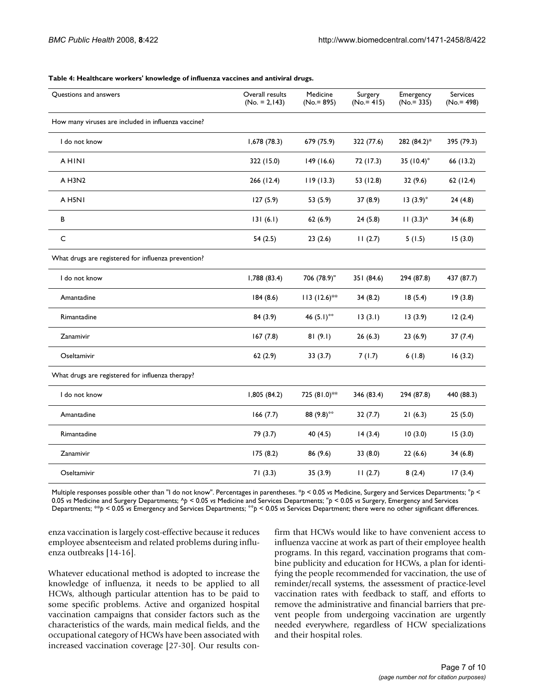| Questions and answers                               | Overall results<br>$(No. = 2, 143)$ | Medicine<br>$(No = 895)$ | Surgery<br>$(No = 415)$ | Emergency<br>$(No = 335)$ | <b>Services</b><br>$(No = 498)$ |
|-----------------------------------------------------|-------------------------------------|--------------------------|-------------------------|---------------------------|---------------------------------|
| How many viruses are included in influenza vaccine? |                                     |                          |                         |                           |                                 |
| I do not know                                       | 1,678 (78.3)                        | 679 (75.9)               | 322 (77.6)              | 282 (84.2)*               | 395 (79.3)                      |
| <b>AHINI</b>                                        | 322 (15.0)                          | 149 (16.6)               | 72 (17.3)               | 35 $(10.4)$ °             | 66 (13.2)                       |
| A H3N2                                              | 266 (12.4)                          | 119(13.3)                | 53 (12.8)               | 32(9.6)                   | 62(12.4)                        |
| A H5N1                                              | 127(5.9)                            | 53 (5.9)                 | 37(8.9)                 | 13(3.9)°                  | 24(4.8)                         |
| B                                                   | 131(6.1)                            | 62(6.9)                  | 24(5.8)                 | $11(3.3)^{A}$             | 34(6.8)                         |
| C                                                   | 54 (2.5)                            | 23(2.6)                  | 11(2.7)                 | 5(1.5)                    | 15(3.0)                         |
| What drugs are registered for influenza prevention? |                                     |                          |                         |                           |                                 |
| I do not know                                       | 1,788(83.4)                         | 706 (78.9)"              | 351 (84.6)              | 294 (87.8)                | 437 (87.7)                      |
| Amantadine                                          | 184(8.6)                            | $113 (12.6)$ **          | 34(8.2)                 | 18(5.4)                   | 19(3.8)                         |
| Rimantadine                                         | 84 (3.9)                            | 46 $(5.1)$ <sup>oo</sup> | 13(3.1)                 | 13(3.9)                   | 12(2.4)                         |
| Zanamivir                                           | 167(7.8)                            | 81(9.1)                  | 26(6.3)                 | 23(6.9)                   | 37(7.4)                         |
| Oseltamivir                                         | 62(2.9)                             | 33(3.7)                  | 7(1.7)                  | 6(1.8)                    | 16(3.2)                         |
| What drugs are registered for influenza therapy?    |                                     |                          |                         |                           |                                 |
| I do not know                                       | 1,805 (84.2)                        | 725 (81.0)**             | 346 (83.4)              | 294 (87.8)                | 440 (88.3)                      |
| Amantadine                                          | 166(7.7)                            | 88 (9.8)°°               | 32(7.7)                 | 21(6.3)                   | 25(5.0)                         |
| Rimantadine                                         | 79 (3.7)                            | 40 (4.5)                 | 14(3.4)                 | 10(3.0)                   | 15(3.0)                         |
| Zanamivir                                           | 175(8.2)                            | 86 (9.6)                 | 33(8.0)                 | 22(6.6)                   | 34(6.8)                         |
| Oseltamivir                                         | 71(3.3)                             | 35(3.9)                  | 11(2.7)                 | 8(2.4)                    | 17(3.4)                         |

#### **Table 4: Healthcare workers' knowledge of influenza vaccines and antiviral drugs.**

Multiple responses possible other than "I do not know". Percentages in parentheses. \**p* < 0.05 *vs* Medicine, Surgery and Services Departments; °*p* < 0.05 *vs* Medicine and Surgery Departments; ^*p* < 0.05 *vs* Medicine and Services Departments; "*p* < 0.05 *vs* Surgery, Emergency and Services Departments; \*\**p* < 0.05 *vs* Emergency and Services Departments; °°*p* < 0.05 *vs* Services Department; there were no other significant differences.

enza vaccination is largely cost-effective because it reduces employee absenteeism and related problems during influenza outbreaks [14-16].

Whatever educational method is adopted to increase the knowledge of influenza, it needs to be applied to all HCWs, although particular attention has to be paid to some specific problems. Active and organized hospital vaccination campaigns that consider factors such as the characteristics of the wards, main medical fields, and the occupational category of HCWs have been associated with increased vaccination coverage [27-30]. Our results confirm that HCWs would like to have convenient access to influenza vaccine at work as part of their employee health programs. In this regard, vaccination programs that combine publicity and education for HCWs, a plan for identifying the people recommended for vaccination, the use of reminder/recall systems, the assessment of practice-level vaccination rates with feedback to staff, and efforts to remove the administrative and financial barriers that prevent people from undergoing vaccination are urgently needed everywhere, regardless of HCW specializations and their hospital roles.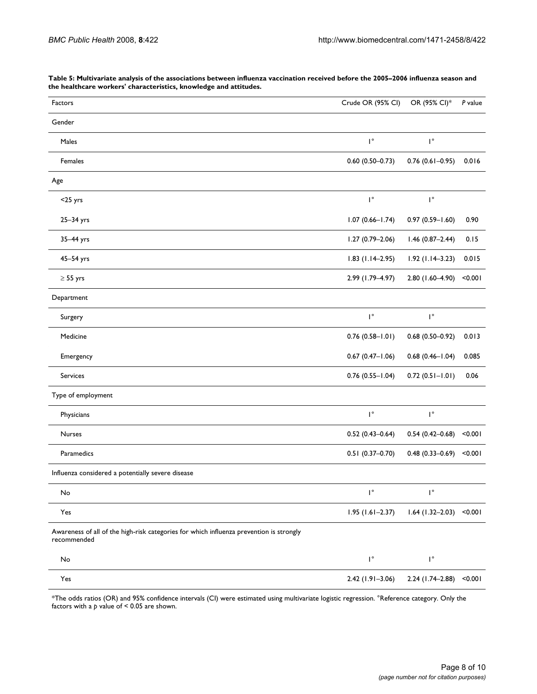| Factors                                                                                                | Crude OR (95% CI)      | OR (95% CI)*           | P value |
|--------------------------------------------------------------------------------------------------------|------------------------|------------------------|---------|
| Gender                                                                                                 |                        |                        |         |
| Males                                                                                                  | $\mathsf{I}^\circ$     | $\mathsf{I}^\circ$     |         |
| Females                                                                                                | $0.60(0.50 - 0.73)$    | $0.76$ (0.61-0.95)     | 0.016   |
| Age                                                                                                    |                        |                        |         |
| $<$ 25 yrs                                                                                             | $\mathsf{I}^\circ$     | $\mathsf{I}^\circ$     |         |
| 25-34 yrs                                                                                              | $1.07(0.66 - 1.74)$    | $0.97(0.59 - 1.60)$    | 0.90    |
| 35-44 yrs                                                                                              | $1.27(0.79 - 2.06)$    | $1.46(0.87 - 2.44)$    | 0.15    |
| 45-54 yrs                                                                                              | $1.83$ (1.14-2.95)     | $1.92$ (1.14-3.23)     | 0.015   |
| $\geq$ 55 yrs                                                                                          | 2.99 (1.79-4.97)       | 2.80 (1.60-4.90)       | < 0.001 |
| Department                                                                                             |                        |                        |         |
| Surgery                                                                                                | $\mathsf{I}^\circ$     | $\mathsf{I}^\circ$     |         |
| Medicine                                                                                               | $0.76(0.58 - 1.01)$    | $0.68(0.50 - 0.92)$    | 0.013   |
| Emergency                                                                                              | $0.67(0.47 - 1.06)$    | $0.68$ $(0.46 - 1.04)$ | 0.085   |
| Services                                                                                               | $0.76$ $(0.55 - 1.04)$ | $0.72(0.51 - 1.01)$    | 0.06    |
| Type of employment                                                                                     |                        |                        |         |
| Physicians                                                                                             | $\mathsf{I}^\circ$     | $\mathsf{I}^\circ$     |         |
| <b>Nurses</b>                                                                                          | $0.52(0.43 - 0.64)$    | $0.54(0.42 - 0.68)$    | < 0.001 |
| Paramedics                                                                                             | $0.51(0.37 - 0.70)$    | $0.48(0.33 - 0.69)$    | < 0.001 |
| Influenza considered a potentially severe disease                                                      |                        |                        |         |
| No                                                                                                     | $\mathsf{I}^\circ$     | $\mathsf{I}^\circ$     |         |
| Yes                                                                                                    | $1.95(1.61 - 2.37)$    | $1.64$ (1.32-2.03)     | < 0.001 |
| Awareness of all of the high-risk categories for which influenza prevention is strongly<br>recommended |                        |                        |         |
| No                                                                                                     | $\mathsf{I}^\circ$     | $\mathsf{I}^\circ$     |         |
| $\mathsf{Yes}$                                                                                         | $2.42(1.91 - 3.06)$    | 2.24 (1.74-2.88)       | < 0.001 |

**Table 5: Multivariate analysis of the associations between influenza vaccination received before the 2005–2006 influenza season and the healthcare workers' characteristics, knowledge and attitudes.**

\*The odds ratios (OR) and 95% confidence intervals (CI) were estimated using multivariate logistic regression. °Reference category. Only the factors with a  $p$  value of < 0.05 are shown.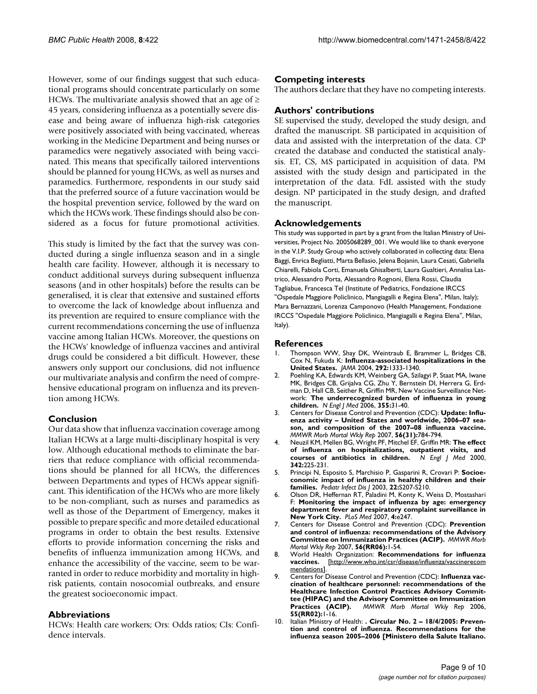However, some of our findings suggest that such educational programs should concentrate particularly on some HCWs. The multivariate analysis showed that an age of  $\geq$ 45 years, considering influenza as a potentially severe disease and being aware of influenza high-risk categories were positively associated with being vaccinated, whereas working in the Medicine Department and being nurses or paramedics were negatively associated with being vaccinated. This means that specifically tailored interventions should be planned for young HCWs, as well as nurses and paramedics. Furthermore, respondents in our study said that the preferred source of a future vaccination would be the hospital prevention service, followed by the ward on which the HCWs work. These findings should also be considered as a focus for future promotional activities.

This study is limited by the fact that the survey was conducted during a single influenza season and in a single health care facility. However, although it is necessary to conduct additional surveys during subsequent influenza seasons (and in other hospitals) before the results can be generalised, it is clear that extensive and sustained efforts to overcome the lack of knowledge about influenza and its prevention are required to ensure compliance with the current recommendations concerning the use of influenza vaccine among Italian HCWs. Moreover, the questions on the HCWs' knowledge of influenza vaccines and antiviral drugs could be considered a bit difficult. However, these answers only support our conclusions, did not influence our multivariate analysis and confirm the need of comprehensive educational program on influenza and its prevention among HCWs.

#### **Conclusion**

Our data show that influenza vaccination coverage among Italian HCWs at a large multi-disciplinary hospital is very low. Although educational methods to eliminate the barriers that reduce compliance with official recommendations should be planned for all HCWs, the differences between Departments and types of HCWs appear significant. This identification of the HCWs who are more likely to be non-compliant, such as nurses and paramedics as well as those of the Department of Emergency, makes it possible to prepare specific and more detailed educational programs in order to obtain the best results. Extensive efforts to provide information concerning the risks and benefits of influenza immunization among HCWs, and enhance the accessibility of the vaccine, seem to be warranted in order to reduce morbidity and mortality in highrisk patients, contain nosocomial outbreaks, and ensure the greatest socioeconomic impact.

## **Abbreviations**

HCWs: Health care workers; Ors: Odds ratios; CIs: Confidence intervals.

#### **Competing interests**

The authors declare that they have no competing interests.

#### **Authors' contributions**

SE supervised the study, developed the study design, and drafted the manuscript. SB participated in acquisition of data and assisted with the interpretation of the data. CP created the database and conducted the statistical analysis. ET, CS, MS participated in acquisition of data. PM assisted with the study design and participated in the interpretation of the data. FdL assisted with the study design. NP participated in the study design, and drafted the manuscript.

#### **Acknowledgements**

This study was supported in part by a grant from the Italian Ministry of Universities, Project No. 2005068289\_001. We would like to thank everyone in the V.I.P. Study Group who actively collaborated in collecting data: Elena Baggi, Enrica Begliatti, Marta Bellasio, Jelena Bojanin, Laura Cesati, Gabriella Chiarelli, Fabiola Corti, Emanuela Ghisalberti, Laura Gualtieri, Annalisa Lastrico, Alessandro Porta, Alessandro Rognoni, Elena Rossi, Claudia Tagliabue, Francesca Tel (Institute of Pediatrics, Fondazione IRCCS "Ospedale Maggiore Policlinico, Mangiagalli e Regina Elena", Milan, Italy); Mara Bernazzani, Lorenza Camponovo (Health Management, Fondazione IRCCS "Ospedale Maggiore Policlinico, Mangiagalli e Regina Elena", Milan, Italy).

#### **References**

- 1. Thompson WW, Shay DK, Weintraub E, Brammer L, Bridges CB, Cox N, Fukuda K: **[Influenza-associated hospitalizations in the](http://www.ncbi.nlm.nih.gov/entrez/query.fcgi?cmd=Retrieve&db=PubMed&dopt=Abstract&list_uids=15367555) [United States.](http://www.ncbi.nlm.nih.gov/entrez/query.fcgi?cmd=Retrieve&db=PubMed&dopt=Abstract&list_uids=15367555)** *JAMA* 2004, **292:**1333-1340.
- 2. Poehling KA, Edwards KM, Weinberg GA, Szilagyi P, Staat MA, Iwane MK, Bridges CB, Grijalva CG, Zhu Y, Bernstein DI, Herrera G, Erdman D, Hall CB, Seither R, Griffin MR, New Vaccine Surveillance Network: **[The underrecognized burden of influenza in young](http://www.ncbi.nlm.nih.gov/entrez/query.fcgi?cmd=Retrieve&db=PubMed&dopt=Abstract&list_uids=16822994) [children.](http://www.ncbi.nlm.nih.gov/entrez/query.fcgi?cmd=Retrieve&db=PubMed&dopt=Abstract&list_uids=16822994)** *N Engl J Med* 2006, **355:**31-40.
- 3. Centers for Disease Control and Prevention (CDC): **Update: Influenza activity – United States and worldwide, 2006–07 season, and composition of the 2007–08 influenza vaccine.** *MMWR Morb Mortal Wkly Rep* 2007, **56(31):**784-794.
- 4. Neuzil KM, Mellen BG, Wright PF, Mitchel EF, Griffin MR: **[The effect](http://www.ncbi.nlm.nih.gov/entrez/query.fcgi?cmd=Retrieve&db=PubMed&dopt=Abstract&list_uids=10648763) [of influenza on hospitalizations, outpatient visits, and](http://www.ncbi.nlm.nih.gov/entrez/query.fcgi?cmd=Retrieve&db=PubMed&dopt=Abstract&list_uids=10648763) [courses of antibiotics in children.](http://www.ncbi.nlm.nih.gov/entrez/query.fcgi?cmd=Retrieve&db=PubMed&dopt=Abstract&list_uids=10648763)** *N Engl J Med* 2000, **342:**225-231.
- 5. Principi N, Esposito S, Marchisio P, Gasparini R, Crovari P: **[Socioe](http://www.ncbi.nlm.nih.gov/entrez/query.fcgi?cmd=Retrieve&db=PubMed&dopt=Abstract&list_uids=14551476)[conomic impact of influenza in healthy children and their](http://www.ncbi.nlm.nih.gov/entrez/query.fcgi?cmd=Retrieve&db=PubMed&dopt=Abstract&list_uids=14551476) [families.](http://www.ncbi.nlm.nih.gov/entrez/query.fcgi?cmd=Retrieve&db=PubMed&dopt=Abstract&list_uids=14551476)** *Pediatr Infect Dis J* 2003, **22:**S207-S210.
- 6. Olson DR, Heffernan RT, Paladini M, Konty K, Weiss D, Mostashari F: **[Monitoring the impact of influenza by age: emergency](http://www.ncbi.nlm.nih.gov/entrez/query.fcgi?cmd=Retrieve&db=PubMed&dopt=Abstract&list_uids=17683196) [department fever and respiratory complaint surveillance in](http://www.ncbi.nlm.nih.gov/entrez/query.fcgi?cmd=Retrieve&db=PubMed&dopt=Abstract&list_uids=17683196) [New York City.](http://www.ncbi.nlm.nih.gov/entrez/query.fcgi?cmd=Retrieve&db=PubMed&dopt=Abstract&list_uids=17683196)** *PLoS Med* 2007, **4:**e247.
- 7. Centers for Disease Control and Prevention (CDC): **[Prevention](http://www.ncbi.nlm.nih.gov/entrez/query.fcgi?cmd=Retrieve&db=PubMed&dopt=Abstract&list_uids=17218934) [and control of influenza: recommendations of the Advisory](http://www.ncbi.nlm.nih.gov/entrez/query.fcgi?cmd=Retrieve&db=PubMed&dopt=Abstract&list_uids=17218934) [Committee on Immunization Practices \(ACIP\).](http://www.ncbi.nlm.nih.gov/entrez/query.fcgi?cmd=Retrieve&db=PubMed&dopt=Abstract&list_uids=17218934)** *MMWR Morb Mortal Wkly Rep* 2007, **56(RR06):**1-54.
- 8. World Health Organization: **Recommendations for influenza vaccines.** [[http://www.who.int/csr/disease/influenza/vaccinerecom](http://www.who.int/csr/disease/influenza/vaccinerecommendations) [mendations](http://www.who.int/csr/disease/influenza/vaccinerecommendations)].
- 9. Centers for Disease Control and Prevention (CDC): **[Influenza vac](http://www.ncbi.nlm.nih.gov/entrez/query.fcgi?cmd=Retrieve&db=PubMed&dopt=Abstract&list_uids=16410759)cination of healthcare personnel: recommendations of the [Healthcare Infection Control Practices Advisory Commit](http://www.ncbi.nlm.nih.gov/entrez/query.fcgi?cmd=Retrieve&db=PubMed&dopt=Abstract&list_uids=16410759)tee (HIPAC) and the Advisory Committee on Immunization [Practices \(ACIP\).](http://www.ncbi.nlm.nih.gov/entrez/query.fcgi?cmd=Retrieve&db=PubMed&dopt=Abstract&list_uids=16410759)** *MMWR Morb Mortal Wkly Rep* 2006, **55(RR02):**1-16.
- 10. Italian Ministry of Health: **. Circular No. 2 18/4/2005: Prevention and control of influenza. Recommendations for the influenza season 2005–2006 [Ministero della Salute Italiano.**